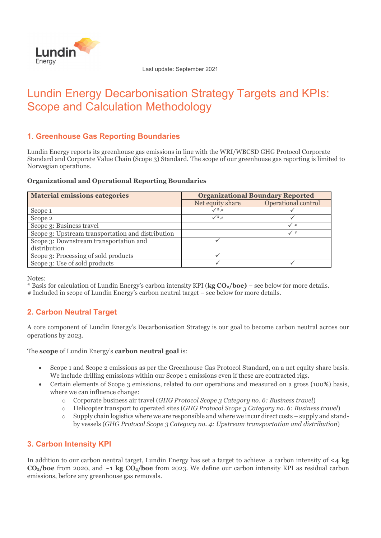

Last update: September 2021

# Lundin Energy Decarbonisation Strategy Targets and KPIs: Scope and Calculation Methodology

# **1. Greenhouse Gas Reporting Boundaries**

Lundin Energy reports its greenhouse gas emissions in line with the WRI/WBCSD GHG Protocol Corporate Standard and Corporate Value Chain (Scope 3) Standard. The scope of our greenhouse gas reporting is limited to Norwegian operations.

### **Organizational and Operational Reporting Boundaries**

| <b>Material emissions categories</b>              | <b>Organizational Boundary Reported</b> |                            |
|---------------------------------------------------|-----------------------------------------|----------------------------|
|                                                   | Net equity share                        | <b>Operational control</b> |
| Scope 1                                           | $\checkmark^*,\checkmark^*$             |                            |
| Scope 2                                           | $\checkmark$ *.#                        |                            |
| Scope 3: Business travel                          |                                         | $\checkmark$ #             |
| Scope 3: Upstream transportation and distribution |                                         | ✓♯                         |
| Scope 3: Downstream transportation and            |                                         |                            |
| distribution                                      |                                         |                            |
| Scope 3: Processing of sold products              |                                         |                            |
| Scope 3: Use of sold products                     |                                         |                            |

Notes:

\* Basis for calculation of Lundin Energy's carbon intensity KPI (**kg CO2/boe)** – see below for more details.

# Included in scope of Lundin Energy's carbon neutral target – see below for more details.

# **2. Carbon Neutral Target**

A core component of Lundin Energy's Decarbonisation Strategy is our goal to become carbon neutral across our operations by 2023.

The **scope** of Lundin Energy's **carbon neutral goal** is:

- Scope 1 and Scope 2 emissions as per the Greenhouse Gas Protocol Standard, on a net equity share basis. We include drilling emissions within our Scope 1 emissions even if these are contracted rigs.
- Certain elements of Scope 3 emissions, related to our operations and measured on a gross (100%) basis, where we can influence change:
	- o Corporate business air travel (*GHG Protocol Scope 3 Category no. 6: Business travel*)
	- o Helicopter transport to operated sites (*GHG Protocol Scope 3 Category no. 6: Business travel*)
	- o Supply chain logistics where we are responsible and where we incur direct costs supply and standby vessels (*GHG Protocol Scope 3 Category no. 4: Upstream transportation and distribution*)

# **3. Carbon Intensity KPI**

In addition to our carbon neutral target, Lundin Energy has set a target to achieve a carbon intensity of **<4 kg**   $CO<sub>2</sub>/$ **boe** from 2020, and  $\sim$ **1 kg CO<sub>2</sub>/boe** from 2023. We define our carbon intensity KPI as residual carbon emissions, before any greenhouse gas removals.